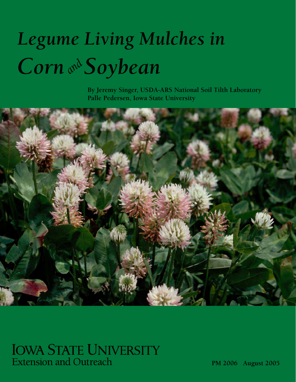# *Legume Living Mulches in Corn and Soybean*

**By Jeremy Singer, USDA-ARS National Soil Tilth Laboratory Palle Pedersen, Iowa State University**



# **IOWA STATE UNIVERSITY Extension and Outreach**

**PM 2006 August 2005**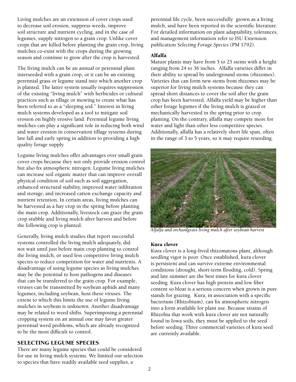Living mulches are an extension of cover crops used to decrease soil erosion, suppress weeds, improve soil structure and nutrient cycling, and in the case of legumes, supply nitrogen to a grain crop. Unlike cover crops that are killed before planting the grain crop, living mulches co-exist with the crops during the growing season and continue to grow after the crop is harvested.

The living mulch can be an annual or perennial plant interseeded with a grain crop, or it can be an existing perennial grass or legume stand into which another crop is planted. The latter system usually requires suppression of the existing "living mulch" with herbicides or cultural practices such as tillage or mowing to create what has been referred to as a "sleeping sod." Interest in living mulch systems developed as a tool to mitigate soil erosion on highly erosive land. Perennial legume living mulches can play a significant role in reducing both wind and water erosion in conservation tillage systems during late fall and early spring in addition to providing a high quality forage supply.

Legume living mulches offer advantages over small grain cover crops because they not only provide erosion control but also fix atmospheric nitrogen. Legume living mulches can increase soil organic matter that can improve overall physical condition of soil such as soil aggregation, enhanced structural stability, improved water infiltration and storage, and increased cation exchange capacity and nutrient retention. In certain areas, living mulches can be harvested as a hay crop in the spring before planting the main crop. Additionally, livestock can graze the grain crop stubble and living mulch after harvest and before the following crop is planted.

Generally, living mulch studies that report successful systems controlled the living mulch adequately, did not wait until just before main crop planting to control the living mulch, or used less competitive living mulch species to reduce competition for water and nutrients. A disadvantage of using legume species as living mulches may be the potential to host pathogens and diseases that can be transferred to the grain crop. For example, viruses can be transmitted by soybean aphids and many legumes, including soybean, host these viruses. The extent to which this limits the use of legume living mulches in soybean is unknown. Another disadvantage may be related to weed shifts. Superimposing a perennial cropping system on an annual one may favor greater perennial weed problems, which are already recognized to be the most difficult to control.

# SELECTING LEGUME SPECIES

There are many legume species that could be considered for use in living mulch systems. We limited our selection to species that have readily available seed supplies, a

perennial life cycle, been successfully grown as a living mulch, and have been reported in the scientific literature. For detailed information on plant adaptability, tolerances, and management information refer to ISU Extension publication *Selecting Forage Species* (PM 1792).

# Alfalfa

Mature plants may have from 5 to 25 stems with a height ranging from 24 to 36 inches. Alfalfa varieties differ in their ability to spread by underground stems (rhizomes). Varieties that can form new stems from rhizomes may be superior for living mulch systems because they can spread short distances to cover the soil after the grain crop has been harvested. Alfalfa yield may be higher than other forage legumes if the living mulch is grazed or mechanically harvested in the spring prior to crop planting. On the contrary, alfalfa may compete more for water and light than other less competitive species. Additionally, alfalfa has a relatively short life span, often in the range of 3 to 5 years, so it may require reseeding.



*Alfalfa and orchardgrass living mulch after soybean harvest*

# Kura clover

Kura clover is a long-lived rhizomatous plant, although seedling vigor is poor. Once established, kura clover is persistent and can survive extreme environmental conditions (drought, short-term flooding, cold). Spring and late summer are the best times for kura clover seeding. Kura clover has high protein and low fiber content so bloat is a serious concern when grown in pure stands for grazing. Kura, in association with a specific bacterium (Rhizobium), can fix atmospheric nitrogen into a form available for plant use. Because strains of Rhizobia that work with kura clover are not naturally found in Iowa soils, they must be applied to the seed before seeding. Three commercial varieties of kura seed are currently available.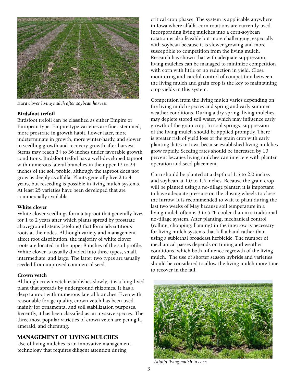

*Kura clover living mulch after soybean harvest*

#### Birdsfoot trefoil

Birdsfoot trefoil can be classified as either Empire or European type. Empire type varieties are finer stemmed, more prostrate in growth habit, flower later, more indeterminate in growth, more winter-hardy, and slower in seedling growth and recovery growth after harvest. Stems may reach 24 to 36 inches under favorable growth conditions. Birdsfoot trefoil has a well-developed taproot with numerous lateral branches in the upper 12 to 24 inches of the soil profile, although the taproot does not grow as deeply as alfalfa. Plants generally live 2 to 4 years, but reseeding is possible in living mulch systems. At least 25 varieties have been developed that are commercially available.

#### White clover

White clover seedlings form a taproot that generally lives for 1 to 2 years after which plants spread by prostrate aboveground stems (stolons) that form adventitious roots at the nodes. Although variety and management affect root distribution, the majority of white clover roots are located in the upper 8 inches of the soil profile. White clover is usually divided into three types, small, intermediate, and large. The latter two types are usually seeded from improved commercial seed.

#### Crown vetch

Although crown vetch establishes slowly, it is a long-lived plant that spreads by underground rhizomes. It has a deep taproot with numerous lateral branches. Even with reasonable forage quality, crown vetch has been used mainly for ornamental and soil stabilization purposes. Recently, it has been classified as an invasive species. The three most popular varieties of crown vetch are penngift, emerald, and chemung.

### MANAGEMENT OF LIVING MULCHES

Use of living mulches is an innovative management technology that requires diligent attention during

critical crop phases. The system is applicable anywhere in Iowa where alfalfa-corn rotations are currently used. Incorporating living mulches into a corn-soybean rotation is also feasible but more challenging, especially with soybean because it is slower growing and more susceptible to competition from the living mulch. Research has shown that with adequate suppression, living mulches can be managed to minimize competition with corn with little or no reduction in yield. Close monitoring and careful control of competition between the living mulch and grain crop is the key to maintaining crop yields in this system.

Competition from the living mulch varies depending on the living mulch species and spring and early summer weather conditions. During a dry spring, living mulches may deplete stored soil water, which may influence early growth of the grain crop. In cool springs, suppression of the living mulch should be applied promptly. There is greater risk of yield loss of the grain crop with early planting dates in Iowa because established living mulches grow rapidly. Seeding rates should be increased by 10 percent because living mulches can interfere with planter operation and seed placement.

Corn should be planted at a depth of 1.5 to 2.0 inches and soybean at 1.0 to 1.5 inches. Because the grain crop will be planted using a no-tillage planter, it is important to have adequate pressure on the closing wheels to close the furrow. It is recommended to wait to plant during the last two weeks of May because soil temperature in a living mulch often is 3 to 5 ºF cooler than in a traditional no-tillage system. After planting, mechanical control (rolling, chopping, flaming) in the interrow is necessary for living mulch systems that kill a band rather than using a sublethal broadcast herbicide. The number of mechanical passes depends on timing and weather conditions, which both influence regrowth of the living mulch. The use of shorter season hybrids and varieties should be considered to allow the living mulch more time to recover in the fall.



*Alfalfa living mulch in corn*